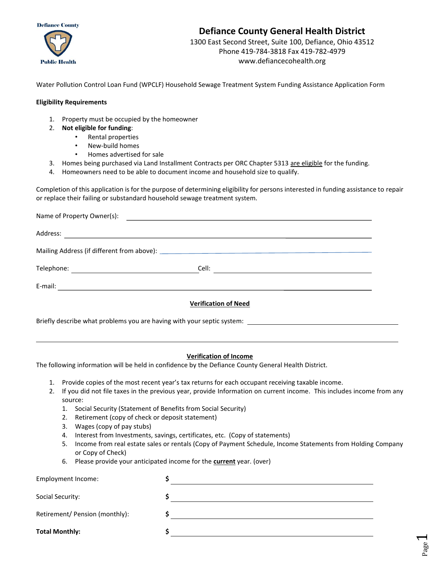



# **Defiance County General Health District**

1300 East Second Street, Suite 100, Defiance, Ohio 43512 Phone 419-784-3818 Fax 419-782-4979 www.defiancecohealth.org

Water Pollution Control Loan Fund (WPCLF) Household Sewage Treatment System Funding Assistance Application Form

#### **Eligibility Requirements**

- 1. Property must be occupied by the homeowner
- 2. **Not eligible for funding**:
	- Rental properties
	- New-build homes
	- Homes advertised for sale
- 3. Homes being purchased via Land Installment Contracts per ORC Chapter 5313 are eligible for the funding.
- 4. Homeowners need to be able to document income and household size to qualify.

Completion of this application is for the purpose of determining eligibility for persons interested in funding assistance to repair or replace their failing or substandard household sewage treatment system.

| Name of Property Owner(s): | <u> Andreas Andreas Andreas Andreas Andreas Andreas Andreas Andreas Andreas Andreas Andreas Andreas Andreas Andreas Andreas Andreas Andreas Andreas Andreas Andreas Andreas Andreas Andreas Andreas Andreas Andreas Andreas Andr</u> |  |
|----------------------------|--------------------------------------------------------------------------------------------------------------------------------------------------------------------------------------------------------------------------------------|--|
| Address:                   |                                                                                                                                                                                                                                      |  |
|                            |                                                                                                                                                                                                                                      |  |
|                            | Cell:<br><u> 1989 - Johann Stein, mars an de Britannich (b. 1989)</u>                                                                                                                                                                |  |
| E-mail:                    |                                                                                                                                                                                                                                      |  |
|                            | Vaulfication of Nacol                                                                                                                                                                                                                |  |

**Verification of Need**

Briefly describe what problems you are having with your septic system:

#### **Verification of Income**

The following information will be held in confidence by the Defiance County General Health District.

- 1. Provide copies of the most recent year's tax returns for each occupant receiving taxable income.
- 2. If you did not file taxes in the previous year, provide Information on current income. This includes income from any source:
	- 1. Social Security (Statement of Benefits from Social Security)
	- 2. Retirement (copy of check or deposit statement)
	- 3. Wages (copy of pay stubs)
	- 4. Interest from Investments, savings, certificates, etc. (Copy of statements)
	- 5. Income from real estate sales or rentals (Copy of Payment Schedule, Income Statements from Holding Company or Copy of Check)
	- 6. Please provide your anticipated income for the **current** year. (over)

| Employment Income:             |  |
|--------------------------------|--|
| Social Security:               |  |
| Retirement/ Pension (monthly): |  |
| <b>Total Monthly:</b>          |  |